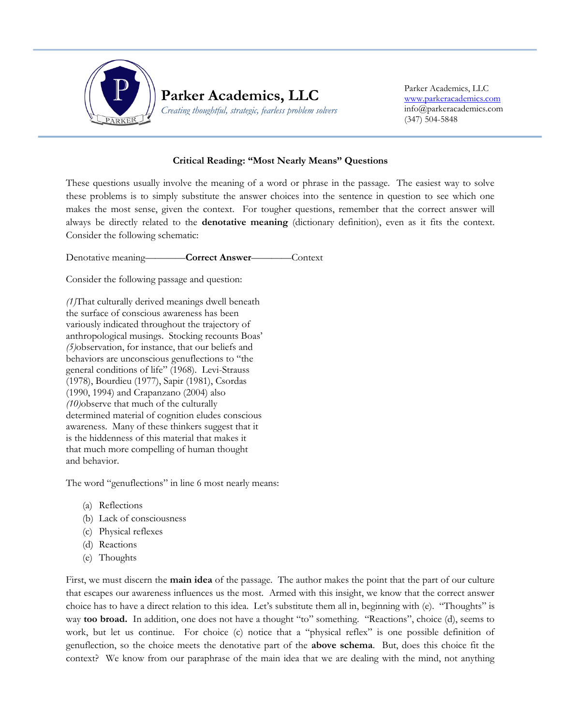

Parker Academics, LLC [www.parkeracademics.com](http://www.parkeracademics.com/) info@parkeracademics.com (347) 504-5848

## **Critical Reading: "Most Nearly Means" Questions**

֖֖֖֖֖֖֖֪ׅ֖֖֖֖֖֪֪֪֦֪֪֪֦֖֧֪֪֪֦֖֧֪֪֪֪֪֪ׅ֖֧֖֖֚֚֚֚֚֚֚֚֚֚֚֚֚֚֬֝֝֬֝֝֝֝֝֬֝֬֬֝֬֝֬֬֝֬֬֝֬֬

These questions usually involve the meaning of a word or phrase in the passage. The easiest way to solve these problems is to simply substitute the answer choices into the sentence in question to see which one makes the most sense, given the context. For tougher questions, remember that the correct answer will always be directly related to the **denotative meaning** (dictionary definition), even as it fits the context. Consider the following schematic:

Denotative meaning————**Correct Answer**————Context

Consider the following passage and question:

*(1)*That culturally derived meanings dwell beneath the surface of conscious awareness has been variously indicated throughout the trajectory of anthropological musings. Stocking recounts Boas' *(5)*observation, for instance, that our beliefs and behaviors are unconscious genuflections to "the general conditions of life" (1968). Levi-Strauss (1978), Bourdieu (1977), Sapir (1981), Csordas (1990, 1994) and Crapanzano (2004) also *(10)*observe that much of the culturally determined material of cognition eludes conscious awareness. Many of these thinkers suggest that it is the hiddenness of this material that makes it that much more compelling of human thought and behavior.

The word "genuflections" in line 6 most nearly means:

- (a) Reflections
- (b) Lack of consciousness
- (c) Physical reflexes
- (d) Reactions
- (e) Thoughts

First, we must discern the **main idea** of the passage. The author makes the point that the part of our culture that escapes our awareness influences us the most. Armed with this insight, we know that the correct answer choice has to have a direct relation to this idea. Let's substitute them all in, beginning with (e). "Thoughts" is way **too broad.** In addition, one does not have a thought "to" something. "Reactions", choice (d), seems to work, but let us continue. For choice (c) notice that a "physical reflex" is one possible definition of genuflection, so the choice meets the denotative part of the **above schema**. But, does this choice fit the context? We know from our paraphrase of the main idea that we are dealing with the mind, not anything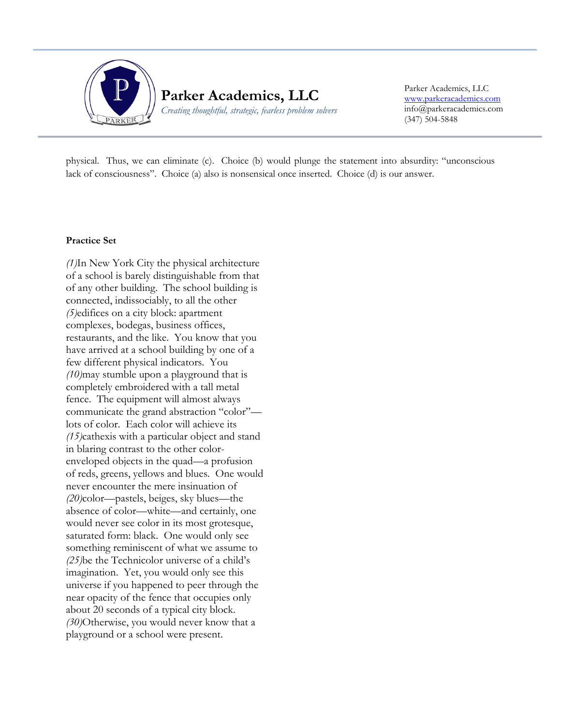

Parker Academics, LLC [www.parkeracademics.com](http://www.parkeracademics.com/) info@parkeracademics.com (347) 504-5848

physical. Thus, we can eliminate (c). Choice (b) would plunge the statement into absurdity: "unconscious lack of consciousness". Choice (a) also is nonsensical once inserted. Choice (d) is our answer.

## **Practice Set**

*(1)*In New York City the physical architecture of a school is barely distinguishable from that of any other building. The school building is connected, indissociably, to all the other *(5)*edifices on a city block: apartment complexes, bodegas, business offices, restaurants, and the like. You know that you have arrived at a school building by one of a few different physical indicators. You *(10)*may stumble upon a playground that is completely embroidered with a tall metal fence. The equipment will almost always communicate the grand abstraction "color" lots of color. Each color will achieve its *(15)*cathexis with a particular object and stand in blaring contrast to the other colorenveloped objects in the quad—a profusion of reds, greens, yellows and blues. One would never encounter the mere insinuation of *(20)*color—pastels, beiges, sky blues—the absence of color—white—and certainly, one would never see color in its most grotesque, saturated form: black. One would only see something reminiscent of what we assume to *(25)*be the Technicolor universe of a child's imagination. Yet, you would only see this universe if you happened to peer through the near opacity of the fence that occupies only about 20 seconds of a typical city block. *(30)*Otherwise, you would never know that a playground or a school were present.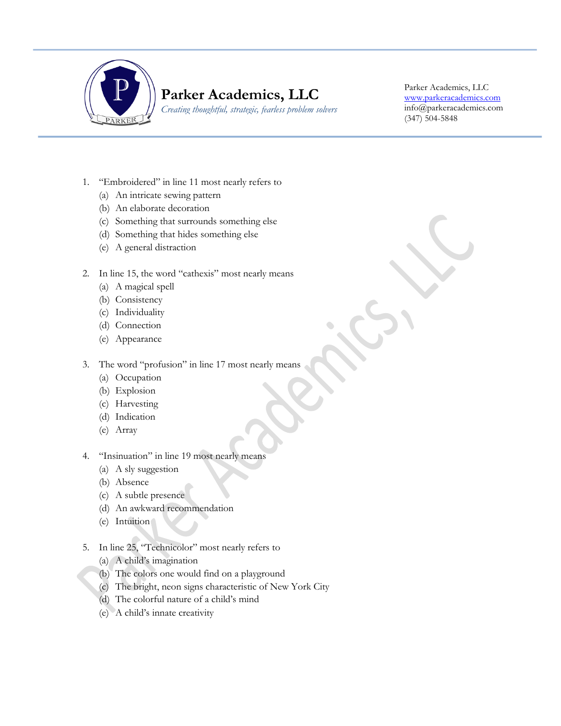

## **Parker Academics, LLC**

*Creating thoughtful, strategic, fearless problem solvers*

Parker Academics, LLC [www.parkeracademics.com](http://www.parkeracademics.com/) info@parkeracademics.com (347) 504-5848

1. "Embroidered" in line 11 most nearly refers to

Ī

- (a) An intricate sewing pattern
- (b) An elaborate decoration
- (c) Something that surrounds something else
- (d) Something that hides something else
- (e) A general distraction
- 2. In line 15, the word "cathexis" most nearly means
	- (a) A magical spell
	- (b) Consistency
	- (c) Individuality
	- (d) Connection
	- (e) Appearance
- 3. The word "profusion" in line 17 most nearly means
	- (a) Occupation
	- (b) Explosion
	- (c) Harvesting
	- (d) Indication
	- (e) Array
- 4. "Insinuation" in line 19 most nearly means
	- (a) A sly suggestion
	- (b) Absence
	- (c) A subtle presence
	- (d) An awkward recommendation
	- (e) Intuition
- 5. In line 25, "Technicolor" most nearly refers to
	- (a) A child's imagination
	- (b) The colors one would find on a playground
	- (c) The bright, neon signs characteristic of New York City
	- (d) The colorful nature of a child's mind
	- (e) A child's innate creativity